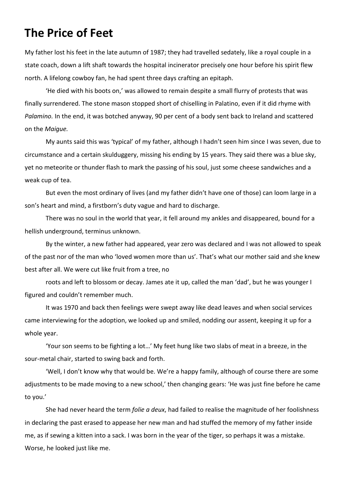## **The Price of Feet**

My father lost his feet in the late autumn of 1987; they had travelled sedately, like a royal couple in a state coach, down a lift shaft towards the hospital incinerator precisely one hour before his spirit flew north. A lifelong cowboy fan, he had spent three days crafting an epitaph.

'He died with his boots on,' was allowed to remain despite a small flurry of protests that was finally surrendered. The stone mason stopped short of chiselling in Palatino, even if it did rhyme with *Palamino.* In the end, it was botched anyway, 90 per cent of a body sent back to Ireland and scattered on the *Maigue.*

My aunts said this was 'typical' of my father, although I hadn't seen him since I was seven, due to circumstance and a certain skulduggery, missing his ending by 15 years. They said there was a blue sky, yet no meteorite or thunder flash to mark the passing of his soul, just some cheese sandwiches and a weak cup of tea.

But even the most ordinary of lives (and my father didn't have one of those) can loom large in a son's heart and mind, a firstborn's duty vague and hard to discharge.

There was no soul in the world that year, it fell around my ankles and disappeared, bound for a hellish underground, terminus unknown.

By the winter, a new father had appeared, year zero was declared and I was not allowed to speak of the past nor of the man who 'loved women more than us'. That's what our mother said and she knew best after all. We were cut like fruit from a tree, no

roots and left to blossom or decay. James ate it up, called the man 'dad', but he was younger I figured and couldn't remember much.

It was 1970 and back then feelings were swept away like dead leaves and when social services came interviewing for the adoption, we looked up and smiled, nodding our assent, keeping it up for a whole year.

'Your son seems to be fighting a lot…' My feet hung like two slabs of meat in a breeze, in the sour-metal chair, started to swing back and forth.

'Well, I don't know why that would be. We're a happy family, although of course there are some adjustments to be made moving to a new school,' then changing gears: 'He was just fine before he came to you.'

She had never heard the term *folie a deux*, had failed to realise the magnitude of her foolishness in declaring the past erased to appease her new man and had stuffed the memory of my father inside me, as if sewing a kitten into a sack. I was born in the year of the tiger, so perhaps it was a mistake. Worse, he looked just like me.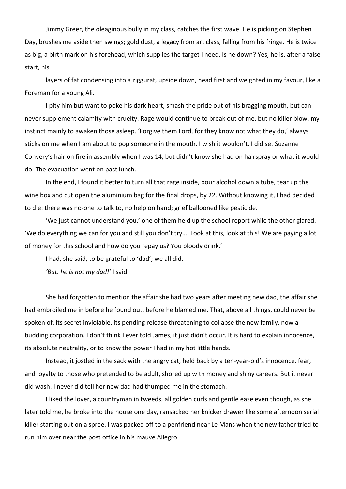Jimmy Greer, the oleaginous bully in my class, catches the first wave. He is picking on Stephen Day, brushes me aside then swings; gold dust, a legacy from art class, falling from his fringe. He is twice as big, a birth mark on his forehead, which supplies the target I need. Is he down? Yes, he is, after a false start, his

layers of fat condensing into a ziggurat, upside down, head first and weighted in my favour, like a Foreman for a young Ali.

I pity him but want to poke his dark heart, smash the pride out of his bragging mouth, but can never supplement calamity with cruelty. Rage would continue to break out of me, but no killer blow, my instinct mainly to awaken those asleep. 'Forgive them Lord, for they know not what they do,' always sticks on me when I am about to pop someone in the mouth. I wish it wouldn't. I did set Suzanne Convery's hair on fire in assembly when I was 14, but didn't know she had on hairspray or what it would do. The evacuation went on past lunch.

In the end, I found it better to turn all that rage inside, pour alcohol down a tube, tear up the wine box and cut open the aluminium bag for the final drops, by 22. Without knowing it, I had decided to die: there was no-one to talk to, no help on hand; grief ballooned like pesticide.

'We just cannot understand you,' one of them held up the school report while the other glared. 'We do everything we can for you and still you don't try…. Look at this, look at this! We are paying a lot of money for this school and how do you repay us? You bloody drink.'

I had, she said, to be grateful to 'dad'; we all did.

*'But, he is not my dad!'* I said.

She had forgotten to mention the affair she had two years after meeting new dad, the affair she had embroiled me in before he found out, before he blamed me. That, above all things, could never be spoken of, its secret inviolable, its pending release threatening to collapse the new family, now a budding corporation. I don't think I ever told James, it just didn't occur. It is hard to explain innocence, its absolute neutrality, or to know the power I had in my hot little hands.

Instead, it jostled in the sack with the angry cat, held back by a ten-year-old's innocence, fear, and loyalty to those who pretended to be adult, shored up with money and shiny careers. But it never did wash. I never did tell her new dad had thumped me in the stomach.

I liked the lover, a countryman in tweeds, all golden curls and gentle ease even though, as she later told me, he broke into the house one day, ransacked her knicker drawer like some afternoon serial killer starting out on a spree. I was packed off to a penfriend near Le Mans when the new father tried to run him over near the post office in his mauve Allegro.